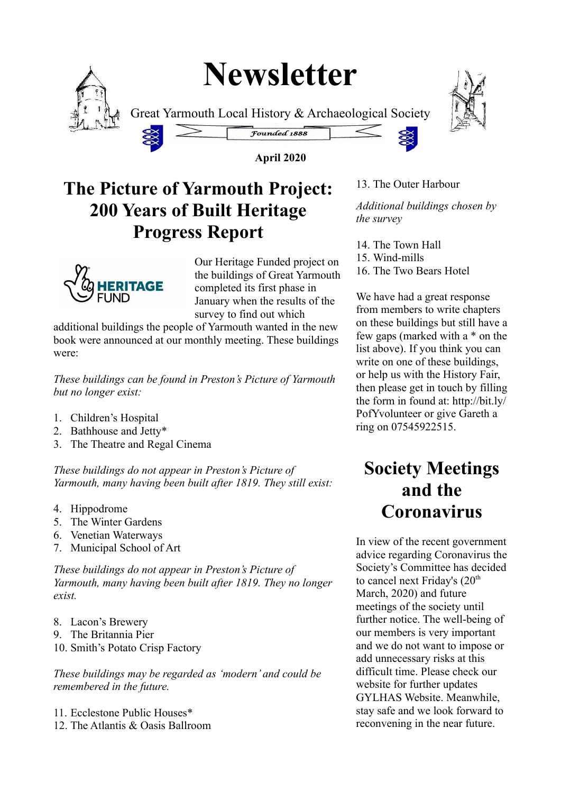# **Newsletter**



Great Yarmouth Local History & Archaeological Society



**April 2020**

Founded 1888

### **The Picture of Yarmouth Project: 200 Years of Built Heritage Progress Report**



Our Heritage Funded project on the buildings of Great Yarmouth completed its first phase in January when the results of the survey to find out which

additional buildings the people of Yarmouth wanted in the new book were announced at our monthly meeting. These buildings were:

*These buildings can be found in Preston's Picture of Yarmouth but no longer exist:*

- 1. Children's Hospital
- 2. Bathhouse and Jetty\*
- 3. The Theatre and Regal Cinema

*These buildings do not appear in Preston's Picture of Yarmouth, many having been built after 1819. They still exist:*

- 4. Hippodrome
- 5. The Winter Gardens
- 6. Venetian Waterways
- 7. Municipal School of Art

*These buildings do not appear in Preston's Picture of Yarmouth, many having been built after 1819. They no longer exist.*

- 8. Lacon's Brewery
- 9. The Britannia Pier
- 10. Smith's Potato Crisp Factory

*These buildings may be regarded as 'modern' and could be remembered in the future.*

11. Ecclestone Public Houses\* 12. The Atlantis & Oasis Ballroom



13. The Outer Harbour

*Additional buildings chosen by the survey*

- 14. The Town Hall
- 15. Wind-mills
- 16. The Two Bears Hotel

We have had a great response from members to write chapters on these buildings but still have a few gaps (marked with a \* on the list above). If you think you can write on one of these buildings, or help us with the History Fair, then please get in touch by filling the form in found at: http://bit.ly/ PofYvolunteer or give Gareth a ring on 07545922515.

### **Society Meetings and the Coronavirus**

In view of the recent government advice regarding Coronavirus the Society's Committee has decided to cancel next Friday's  $(20<sup>th</sup>$ March, 2020) and future meetings of the society until further notice. The well-being of our members is very important and we do not want to impose or add unnecessary risks at this difficult time. Please check our website for further updates GYLHAS Website. Meanwhile, stay safe and we look forward to reconvening in the near future.

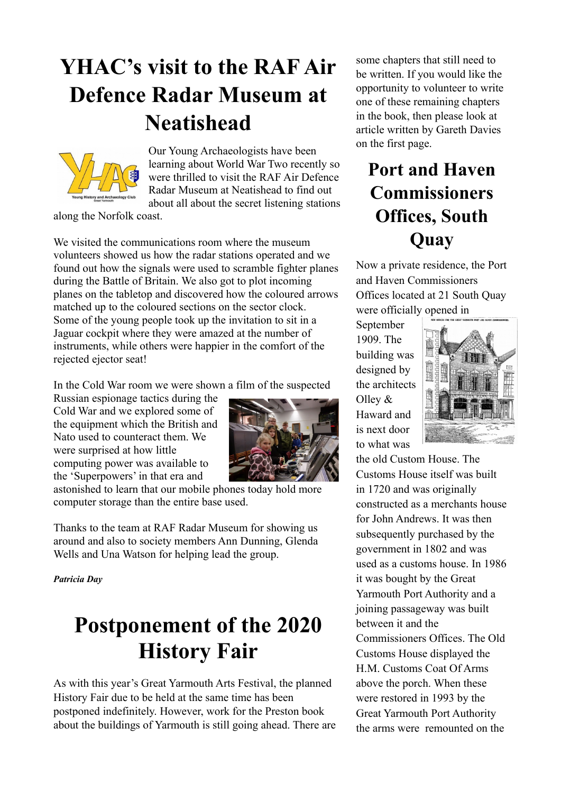## **YHAC's visit to the RAF Air Defence Radar Museum at Neatishead**



Our Young Archaeologists have been learning about World War Two recently so were thrilled to visit the RAF Air Defence Radar Museum at Neatishead to find out about all about the secret listening stations

along the Norfolk coast.

We visited the communications room where the museum volunteers showed us how the radar stations operated and we found out how the signals were used to scramble fighter planes during the Battle of Britain. We also got to plot incoming planes on the tabletop and discovered how the coloured arrows matched up to the coloured sections on the sector clock. Some of the young people took up the invitation to sit in a Jaguar cockpit where they were amazed at the number of instruments, while others were happier in the comfort of the rejected ejector seat!

In the Cold War room we were shown a film of the suspected

Russian espionage tactics during the Cold War and we explored some of the equipment which the British and Nato used to counteract them. We were surprised at how little computing power was available to the 'Superpowers' in that era and



astonished to learn that our mobile phones today hold more computer storage than the entire base used.

Thanks to the team at RAF Radar Museum for showing us around and also to society members Ann Dunning, Glenda Wells and Una Watson for helping lead the group.

*Patricia Day*

### **Postponement of the 2020 History Fair**

As with this year's Great Yarmouth Arts Festival, the planned History Fair due to be held at the same time has been postponed indefinitely. However, work for the Preston book about the buildings of Yarmouth is still going ahead. There are some chapters that still need to be written. If you would like the opportunity to volunteer to write one of these remaining chapters in the book, then please look at article written by Gareth Davies on the first page.

### **Port and Haven Commissioners Offices, South Quay**

Now a private residence, the Port and Haven Commissioners Offices located at 21 South Quay were officially opened in

September 1909. The building was designed by the architects Olley & Haward and is next door to what was



the old Custom House. The Customs House itself was built in 1720 and was originally constructed as a merchants house for John Andrews. It was then subsequently purchased by the government in 1802 and was used as a customs house. In 1986 it was bought by the Great Yarmouth Port Authority and a joining passageway was built between it and the Commissioners Offices. The Old

Customs House displayed the H.M. Customs Coat Of Arms above the porch. When these were restored in 1993 by the Great Yarmouth Port Authority the arms were remounted on the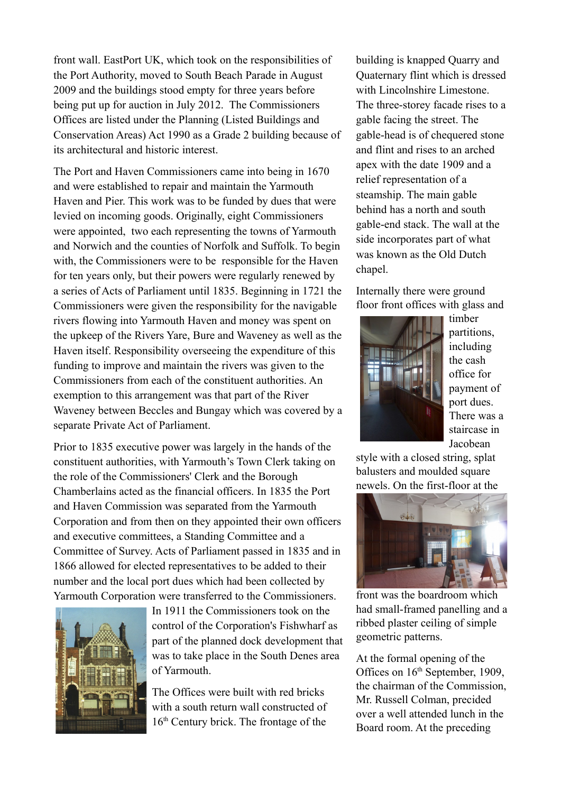front wall. EastPort UK, which took on the responsibilities of the Port Authority, moved to South Beach Parade in August 2009 and the buildings stood empty for three years before being put up for auction in July 2012. The Commissioners Offices are listed under the Planning (Listed Buildings and Conservation Areas) Act 1990 as a Grade 2 building because of its architectural and historic interest.

The Port and Haven Commissioners came into being in 1670 and were established to repair and maintain the Yarmouth Haven and Pier. This work was to be funded by dues that were levied on incoming goods. Originally, eight Commissioners were appointed, two each representing the towns of Yarmouth and Norwich and the counties of Norfolk and Suffolk. To begin with, the Commissioners were to be responsible for the Haven for ten years only, but their powers were regularly renewed by a series of Acts of Parliament until 1835. Beginning in 1721 the Commissioners were given the responsibility for the navigable rivers flowing into Yarmouth Haven and money was spent on the upkeep of the Rivers Yare, Bure and Waveney as well as the Haven itself. Responsibility overseeing the expenditure of this funding to improve and maintain the rivers was given to the Commissioners from each of the constituent authorities. An exemption to this arrangement was that part of the River Waveney between Beccles and Bungay which was covered by a separate Private Act of Parliament.

Prior to 1835 executive power was largely in the hands of the constituent authorities, with Yarmouth's Town Clerk taking on the role of the Commissioners' Clerk and the Borough Chamberlains acted as the financial officers. In 1835 the Port and Haven Commission was separated from the Yarmouth Corporation and from then on they appointed their own officers and executive committees, a Standing Committee and a Committee of Survey. Acts of Parliament passed in 1835 and in 1866 allowed for elected representatives to be added to their number and the local port dues which had been collected by Yarmouth Corporation were transferred to the Commissioners.



In 1911 the Commissioners took on the control of the Corporation's Fishwharf as part of the planned dock development that was to take place in the South Denes area of Yarmouth.

The Offices were built with red bricks with a south return wall constructed of 16<sup>th</sup> Century brick. The frontage of the building is knapped Quarry and Quaternary flint which is dressed with Lincolnshire Limestone. The three-storey facade rises to a gable facing the street. The gable-head is of chequered stone and flint and rises to an arched apex with the date 1909 and a relief representation of a steamship. The main gable behind has a north and south gable-end stack. The wall at the side incorporates part of what was known as the Old Dutch chapel.

Internally there were ground floor front offices with glass and



timber partitions, including the cash office for payment of port dues. There was a staircase in Jacobean

style with a closed string, splat balusters and moulded square newels. On the first-floor at the



front was the boardroom which had small-framed panelling and a ribbed plaster ceiling of simple geometric patterns.

At the formal opening of the Offices on  $16<sup>th</sup>$  September, 1909, the chairman of the Commission, Mr. Russell Colman, precided over a well attended lunch in the Board room. At the preceding